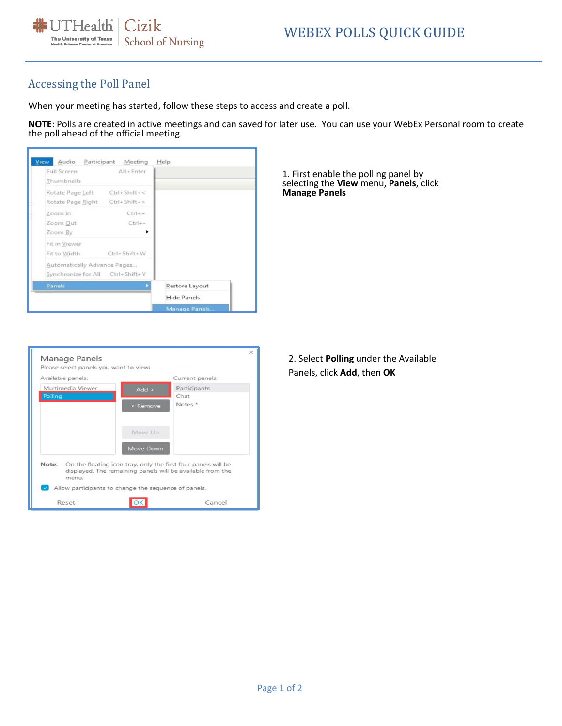

### Accessing the Poll Panel

When your meeting has started, follow these steps to access and create a poll.

**NOTE**: Polls are created in active meetings and can saved for later use. You can use your WebEx Personal room to create the poll ahead of the official meeting.



1. First enable the polling panel by selecting the **View** menu, **Panels**, click **Manage Panels**

| Available panels:                                                            |                  | Current panels:                                            |  |
|------------------------------------------------------------------------------|------------------|------------------------------------------------------------|--|
| Multimedia Viewer                                                            | $Add$ >          | Participants                                               |  |
| Polling                                                                      |                  | Chat                                                       |  |
|                                                                              | < Remove         | Notes <sup>*</sup>                                         |  |
|                                                                              | Move Up          |                                                            |  |
|                                                                              | <b>Move Down</b> |                                                            |  |
| Note: On the floating icon tray, only the first four panels will be<br>menu. |                  | displayed. The remaining panels will be available from the |  |
|                                                                              |                  |                                                            |  |

2. Select **Polling** under the Available Panels, click **Add**, then **OK**